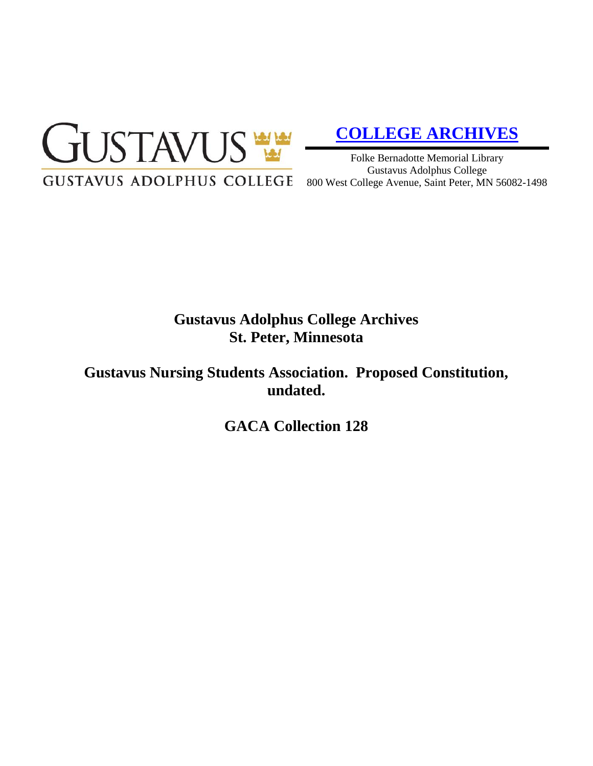

# **[COLLEGE ARCHIVES](http://gustavus.edu/academics/library/archives/)**

Folke Bernadotte Memorial Library Gustavus Adolphus College 800 West College Avenue, Saint Peter, MN 56082-1498

# **Gustavus Adolphus College Archives St. Peter, Minnesota**

**Gustavus Nursing Students Association. Proposed Constitution, undated.**

**GACA Collection 128**